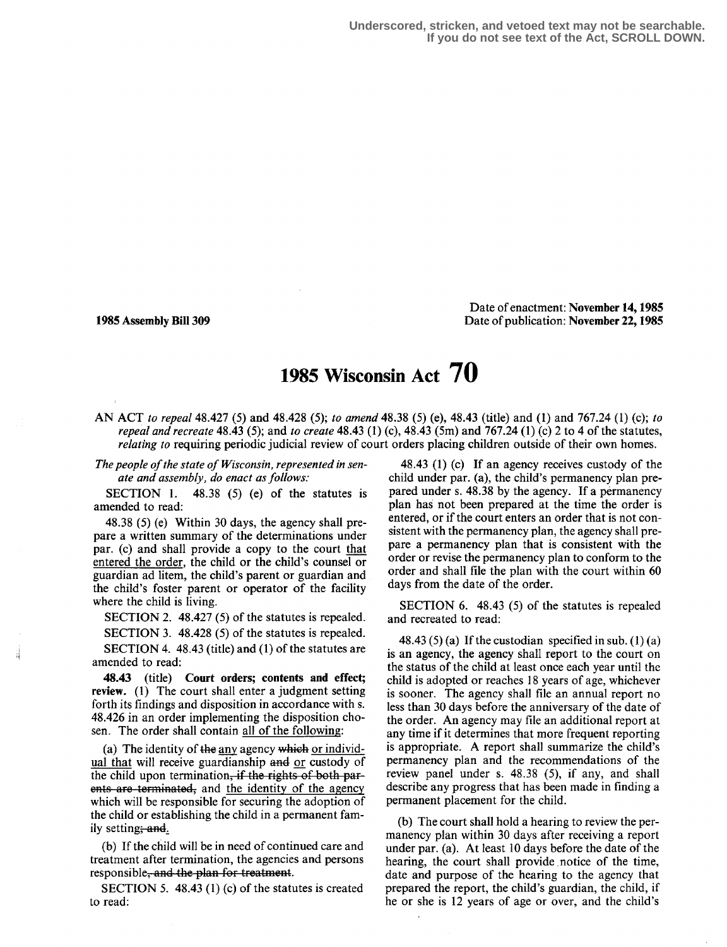Date of enactment: November 14,1985 1985 Assembly Bill 309 **Date of publication: November 22, 1985** Date of publication: November 22, 1985

## 1985 Wisconsin Act 70

AN ACT to repeal 48.427 (5) and 48.428 (5); to amend 48 .38 (5) (e), 48.43 (title) and (1) and 767.24 (1) (c); to repeal and recreate 48.43 (5); and to create 48.43 (1) (c), 48.43 (5m) and 767.24 (1) (c) 2 to 4 of the statutes, relating to requiring periodic judicial review of court orders placing children outside of their own homes.

The people of the state of Wisconsin, represented in senate and assembly, do enact as follows:<br>SECTION 1. 48.38 (5) (e) of the

 $48.38$  (5) (e) of the statutes is amended to read:

48 .38 (5) (e) Within 30 days, the agency shall prepare a written summary of the determinations under par. (c) and shall provide a copy to the court that entered the order, the child or the child's counsel or guardian ad litem, the child's parent or guardian and the child's foster parent or operator of the facility where the child is living.

SECTION 2. 48.427 (5) of the statutes is repealed. SECTION 3. 48.428 (5) of the statutes is repealed. SECTION 4. 48.43 (title) and (1) of the statutes are amended to read:

48.43 (title) Court orders; contents and effect; review. (1) The court shall enter a judgment setting forth its findings and disposition in accordance with s. 48.426 in an order implementing the disposition chosen. The order shall contain all of the following:

(a) The identity of the any agency which or individual that will receive guardianship and or custody of the child upon termination, if the rights of both parents are terminated, and the identity of the agency which will be responsible for securing the adoption of the child or establishing the child in a permanent family setting; and.

(b) If the child will be in need of continued care and treatment after termination, the agencies and persons responsible, and the plan for treatment.

SECTION 5. 48.43 (1) (c) of the statutes is created to read:

48.43 (1) (c) If an agency receives custody of the child under par. (a), the child's permanency plan prepared under s. 48 .38 by the agency. If a permanency plan has not been prepared at the time the order is entered, or if the court enters an order that is not consistent with the permanency plan, the agency shall prepare a permanency plan that is consistent with the order or revise the permanency plan to conform to the order and shall file the plan with the court within 60 days from the date of the order.

SECTION 6. 48.43 (5) of the statutes is repealed and recreated to read:

48.43  $(5)$  (a) If the custodian specified in sub.  $(1)$  (a) is an agency, the agency shall report to the court on the status of the child at least once each year until the child is adopted or reaches 18 years of age, whichever is sooner. The agency shall file an annual report no less than 30 days before the anniversary of the date of the order. An agency may file an additional report at any time if it determines that more frequent reporting is appropriate. A report shall summarize the child's permanency plan and the recommendations of the review panel under s. 48.38 (5), if any, and shall describe any progress that has been made in finding a permanent placement for the child.

(b) The court shall hold a hearing to review the permanency plan within 30 days after receiving a report under par. (a). At least 10 days before the date of the hearing, the court shall provide notice of the time, date and purpose of the hearing to the agency that prepared the report, the child's guardian, the child, if he or she is 12 years of age or over, and the child's